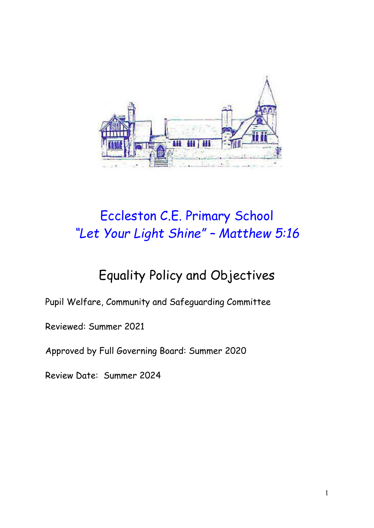

# Eccleston C.E. Primary School *"Let Your Light Shine" – Matthew 5:16*

# Equality Policy and Objectives

Pupil Welfare, Community and Safeguarding Committee

Reviewed: Summer 2021

Approved by Full Governing Board: Summer 2020

Review Date: Summer 2024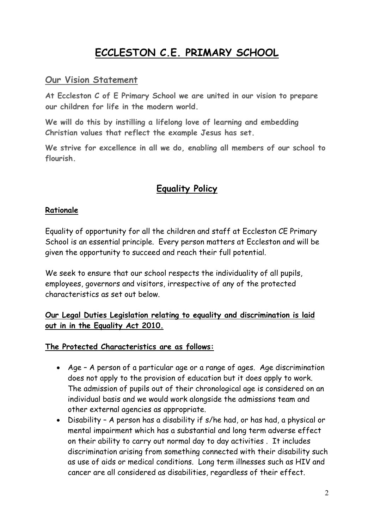# **ECCLESTON C.E. PRIMARY SCHOOL**

#### **Our Vision Statement**

**At Eccleston C of E Primary School we are united in our vision to prepare our children for life in the modern world.**

**We will do this by instilling a lifelong love of learning and embedding Christian values that reflect the example Jesus has set.**

**We strive for excellence in all we do, enabling all members of our school to flourish.**

# **Equality Policy**

#### **Rationale**

Equality of opportunity for all the children and staff at Eccleston CE Primary School is an essential principle. Every person matters at Eccleston and will be given the opportunity to succeed and reach their full potential.

We seek to ensure that our school respects the individuality of all pupils, employees, governors and visitors, irrespective of any of the protected characteristics as set out below.

#### **Our Legal Duties Legislation relating to equality and discrimination is laid out in in the Equality Act 2010.**

#### **The Protected Characteristics are as follows:**

- Age A person of a particular age or a range of ages. Age discrimination does not apply to the provision of education but it does apply to work. The admission of pupils out of their chronological age is considered on an individual basis and we would work alongside the admissions team and other external agencies as appropriate.
- Disability A person has a disability if s/he had, or has had, a physical or mental impairment which has a substantial and long term adverse effect on their ability to carry out normal day to day activities . It includes discrimination arising from something connected with their disability such as use of aids or medical conditions. Long term illnesses such as HIV and cancer are all considered as disabilities, regardless of their effect.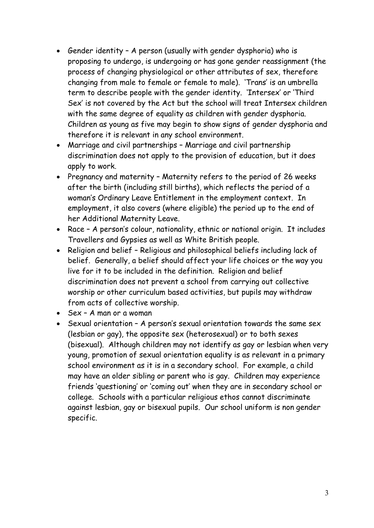- Gender identity A person (usually with gender dysphoria) who is proposing to undergo, is undergoing or has gone gender reassignment (the process of changing physiological or other attributes of sex, therefore changing from male to female or female to male). 'Trans' is an umbrella term to describe people with the gender identity. 'Intersex' or 'Third Sex' is not covered by the Act but the school will treat Intersex children with the same degree of equality as children with gender dysphoria. Children as young as five may begin to show signs of gender dysphoria and therefore it is relevant in any school environment.
- Marriage and civil partnerships Marriage and civil partnership discrimination does not apply to the provision of education, but it does apply to work.
- Pregnancy and maternity Maternity refers to the period of 26 weeks after the birth (including still births), which reflects the period of a woman's Ordinary Leave Entitlement in the employment context. In employment, it also covers (where eligible) the period up to the end of her Additional Maternity Leave.
- Race A person's colour, nationality, ethnic or national origin. It includes Travellers and Gypsies as well as White British people.
- Religion and belief Religious and philosophical beliefs including lack of belief. Generally, a belief should affect your life choices or the way you live for it to be included in the definition. Religion and belief discrimination does not prevent a school from carrying out collective worship or other curriculum based activities, but pupils may withdraw from acts of collective worship.
- Sex A man or a woman
- Sexual orientation A person's sexual orientation towards the same sex (lesbian or gay), the opposite sex (heterosexual) or to both sexes (bisexual). Although children may not identify as gay or lesbian when very young, promotion of sexual orientation equality is as relevant in a primary school environment as it is in a secondary school. For example, a child may have an older sibling or parent who is gay. Children may experience friends 'questioning' or 'coming out' when they are in secondary school or college. Schools with a particular religious ethos cannot discriminate against lesbian, gay or bisexual pupils. Our school uniform is non gender specific.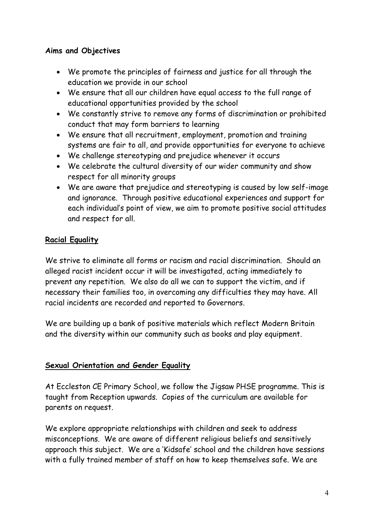#### **Aims and Objectives**

- We promote the principles of fairness and justice for all through the education we provide in our school
- We ensure that all our children have equal access to the full range of educational opportunities provided by the school
- We constantly strive to remove any forms of discrimination or prohibited conduct that may form barriers to learning
- We ensure that all recruitment, employment, promotion and training systems are fair to all, and provide opportunities for everyone to achieve
- We challenge stereotyping and prejudice whenever it occurs
- We celebrate the cultural diversity of our wider community and show respect for all minority groups
- We are aware that prejudice and stereotyping is caused by low self-image and ignorance. Through positive educational experiences and support for each individual's point of view, we aim to promote positive social attitudes and respect for all.

### **Racial Equality**

We strive to eliminate all forms or racism and racial discrimination. Should an alleged racist incident occur it will be investigated, acting immediately to prevent any repetition. We also do all we can to support the victim, and if necessary their families too, in overcoming any difficulties they may have. All racial incidents are recorded and reported to Governors.

We are building up a bank of positive materials which reflect Modern Britain and the diversity within our community such as books and play equipment.

### **Sexual Orientation and Gender Equality**

At Eccleston CE Primary School, we follow the Jigsaw PHSE programme. This is taught from Reception upwards. Copies of the curriculum are available for parents on request.

We explore appropriate relationships with children and seek to address misconceptions. We are aware of different religious beliefs and sensitively approach this subject. We are a 'Kidsafe' school and the children have sessions with a fully trained member of staff on how to keep themselves safe. We are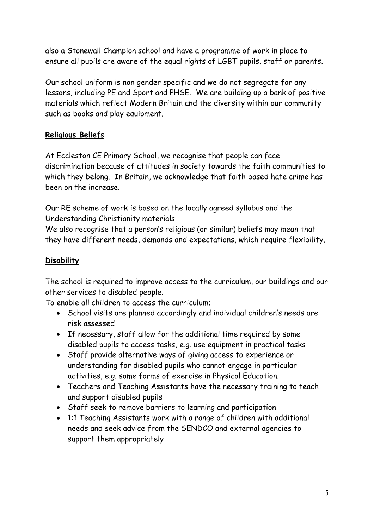also a Stonewall Champion school and have a programme of work in place to ensure all pupils are aware of the equal rights of LGBT pupils, staff or parents.

Our school uniform is non gender specific and we do not segregate for any lessons, including PE and Sport and PHSE. We are building up a bank of positive materials which reflect Modern Britain and the diversity within our community such as books and play equipment.

#### **Religious Beliefs**

At Eccleston CE Primary School, we recognise that people can face discrimination because of attitudes in society towards the faith communities to which they belong. In Britain, we acknowledge that faith based hate crime has been on the increase.

Our RE scheme of work is based on the locally agreed syllabus and the Understanding Christianity materials.

We also recognise that a person's religious (or similar) beliefs may mean that they have different needs, demands and expectations, which require flexibility.

#### **Disability**

The school is required to improve access to the curriculum, our buildings and our other services to disabled people.

To enable all children to access the curriculum;

- School visits are planned accordingly and individual children's needs are risk assessed
- If necessary, staff allow for the additional time required by some disabled pupils to access tasks, e.g. use equipment in practical tasks
- Staff provide alternative ways of giving access to experience or understanding for disabled pupils who cannot engage in particular activities, e.g. some forms of exercise in Physical Education.
- Teachers and Teaching Assistants have the necessary training to teach and support disabled pupils
- Staff seek to remove barriers to learning and participation
- 1:1 Teaching Assistants work with a range of children with additional needs and seek advice from the SENDCO and external agencies to support them appropriately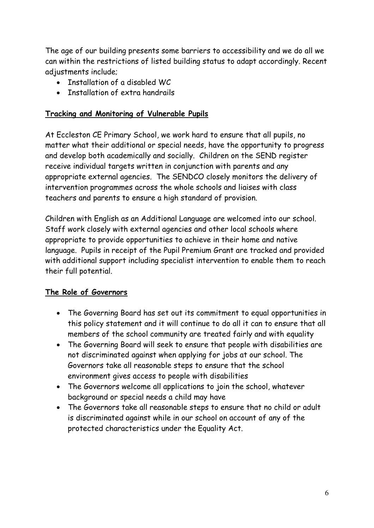The age of our building presents some barriers to accessibility and we do all we can within the restrictions of listed building status to adapt accordingly. Recent adjustments include;

- Installation of a disabled WC
- Installation of extra handrails

#### **Tracking and Monitoring of Vulnerable Pupils**

At Eccleston CE Primary School, we work hard to ensure that all pupils, no matter what their additional or special needs, have the opportunity to progress and develop both academically and socially. Children on the SEND register receive individual targets written in conjunction with parents and any appropriate external agencies. The SENDCO closely monitors the delivery of intervention programmes across the whole schools and liaises with class teachers and parents to ensure a high standard of provision.

Children with English as an Additional Language are welcomed into our school. Staff work closely with external agencies and other local schools where appropriate to provide opportunities to achieve in their home and native language. Pupils in receipt of the Pupil Premium Grant are tracked and provided with additional support including specialist intervention to enable them to reach their full potential.

### **The Role of Governors**

- The Governing Board has set out its commitment to equal opportunities in this policy statement and it will continue to do all it can to ensure that all members of the school community are treated fairly and with equality
- The Governing Board will seek to ensure that people with disabilities are not discriminated against when applying for jobs at our school. The Governors take all reasonable steps to ensure that the school environment gives access to people with disabilities
- The Governors welcome all applications to join the school, whatever background or special needs a child may have
- The Governors take all reasonable steps to ensure that no child or adult is discriminated against while in our school on account of any of the protected characteristics under the Equality Act.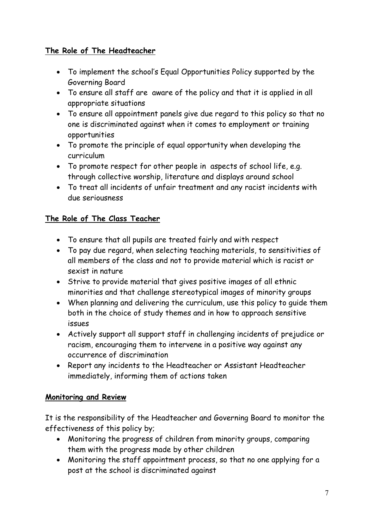## **The Role of The Headteacher**

- To implement the school's Equal Opportunities Policy supported by the Governing Board
- To ensure all staff are aware of the policy and that it is applied in all appropriate situations
- To ensure all appointment panels give due regard to this policy so that no one is discriminated against when it comes to employment or training opportunities
- To promote the principle of equal opportunity when developing the curriculum
- To promote respect for other people in aspects of school life, e.g. through collective worship, literature and displays around school
- To treat all incidents of unfair treatment and any racist incidents with due seriousness

### **The Role of The Class Teacher**

- To ensure that all pupils are treated fairly and with respect
- To pay due regard, when selecting teaching materials, to sensitivities of all members of the class and not to provide material which is racist or sexist in nature
- Strive to provide material that gives positive images of all ethnic minorities and that challenge stereotypical images of minority groups
- When planning and delivering the curriculum, use this policy to guide them both in the choice of study themes and in how to approach sensitive issues
- Actively support all support staff in challenging incidents of prejudice or racism, encouraging them to intervene in a positive way against any occurrence of discrimination
- Report any incidents to the Headteacher or Assistant Headteacher immediately, informing them of actions taken

### **Monitoring and Review**

It is the responsibility of the Headteacher and Governing Board to monitor the effectiveness of this policy by;

- Monitoring the progress of children from minority groups, comparing them with the progress made by other children
- Monitoring the staff appointment process, so that no one applying for a post at the school is discriminated against